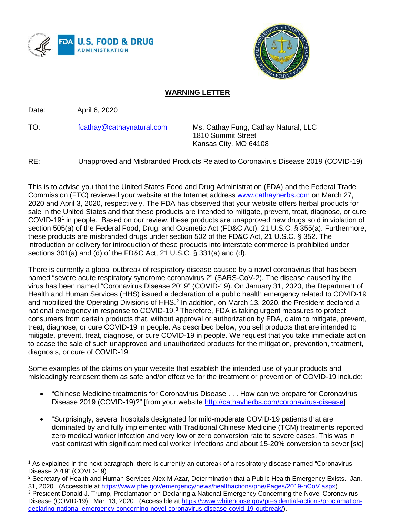



## **WARNING LETTER**

Date: April 6, 2020

TO: [fcathay@cathaynatural.com](mailto:fcathay@cathaynatural.com) – Ms. Cathay Fung, Cathay Natural, LLC

 1810 Summit Street Kansas City, MO 64108

RE: Unapproved and Misbranded Products Related to Coronavirus Disease 2019 (COVID-19)

This is to advise you that the United States Food and Drug Administration (FDA) and the Federal Trade Commission (FTC) reviewed your website at the Internet address [www.cathayherbs.com](http://www.cathayherbs.com/) on March 27, 2020 and April 3, 2020, respectively. The FDA has observed that your website offers herbal products for sale in the United States and that these products are intended to mitigate, prevent, treat, diagnose, or cure COVID-1[91](#page-0-0) in people. Based on our review, these products are unapproved new drugs sold in violation of section 505(a) of the Federal Food, Drug, and Cosmetic Act (FD&C Act), 21 U.S.C. § 355(a). Furthermore, these products are misbranded drugs under section 502 of the FD&C Act, 21 U.S.C. § 352. The introduction or delivery for introduction of these products into interstate commerce is prohibited under sections 301(a) and (d) of the FD&C Act, 21 U.S.C. § 331(a) and (d).

There is currently a global outbreak of respiratory disease caused by a novel coronavirus that has been named "severe acute respiratory syndrome coronavirus 2" (SARS-CoV-2). The disease caused by the virus has been named "Coronavirus Disease 2019" (COVID-19). On January 31, 2020, the Department of Health and Human Services (HHS) issued a declaration of a public health emergency related to COVID-19 and mobilized the Operating Divisions of HHS.<sup>[2](#page-0-1)</sup> In addition, on March 13, 2020, the President declared a national emergency in response to COVID-19.<sup>[3](#page-0-2)</sup> Therefore, FDA is taking urgent measures to protect consumers from certain products that, without approval or authorization by FDA, claim to mitigate, prevent, treat, diagnose, or cure COVID-19 in people. As described below, you sell products that are intended to mitigate, prevent, treat, diagnose, or cure COVID-19 in people. We request that you take immediate action to cease the sale of such unapproved and unauthorized products for the mitigation, prevention, treatment, diagnosis, or cure of COVID-19.

Some examples of the claims on your website that establish the intended use of your products and misleadingly represent them as safe and/or effective for the treatment or prevention of COVID-19 include:

- "Chinese Medicine treatments for Coronavirus Disease . . . How can we prepare for Coronavirus Disease 2019 (COVID-19)?" [from your website [http://cathayherbs.com/coronavirus-disease\]](http://cathayherbs.com/coronavirus-disease)
- "Surprisingly, several hospitals designated for mild-moderate COVID-19 patients that are dominated by and fully implemented with Traditional Chinese Medicine (TCM) treatments reported zero medical worker infection and very low or zero conversion rate to severe cases. This was in vast contrast with significant medical worker infections and about 15-20% conversion to sever [*sic*]

<span id="page-0-1"></span><sup>2</sup> Secretary of Health and Human Services Alex M Azar, Determination that a Public Health Emergency Exists. Jan. 31, 2020. (Accessible at [https://www.phe.gov/emergency/news/healthactions/phe/Pages/2019-nCoV.aspx\)](https://www.phe.gov/emergency/news/healthactions/phe/Pages/2019-nCoV.aspx).

<span id="page-0-2"></span><sup>3</sup> President Donald J. Trump, Proclamation on Declaring a National Emergency Concerning the Novel Coronavirus Disease (COVID-19). Mar. 13, 2020. (Accessible at [https://www.whitehouse.gov/presidential-actions/proclamation](https://www.whitehouse.gov/presidential-actions/proclamation-declaring-national-emergency-concerning-novel-coronavirus-disease-covid-19-outbreak/)[declaring-national-emergency-concerning-novel-coronavirus-disease-covid-19-outbreak/\)](https://www.whitehouse.gov/presidential-actions/proclamation-declaring-national-emergency-concerning-novel-coronavirus-disease-covid-19-outbreak/).

<span id="page-0-0"></span> $\overline{a}$ <sup>1</sup> As explained in the next paragraph, there is currently an outbreak of a respiratory disease named "Coronavirus Disease 2019" (COVID-19).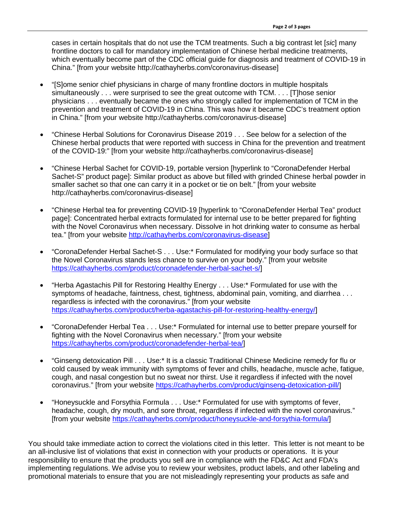cases in certain hospitals that do not use the TCM treatments. Such a big contrast let [*sic*] many frontline doctors to call for mandatory implementation of Chinese herbal medicine treatments, which eventually become part of the CDC official guide for diagnosis and treatment of COVID-19 in China." [from your website http://cathayherbs.com/coronavirus-disease]

- "[S]ome senior chief physicians in charge of many frontline doctors in multiple hospitals simultaneously . . . were surprised to see the great outcome with TCM. . . . [T]hose senior physicians . . . eventually became the ones who strongly called for implementation of TCM in the prevention and treatment of COVID-19 in China. This was how it became CDC's treatment option in China." [from your website http://cathayherbs.com/coronavirus-disease]
- "Chinese Herbal Solutions for Coronavirus Disease 2019 . . . See below for a selection of the Chinese herbal products that were reported with success in China for the prevention and treatment of the COVID-19:" [from your website http://cathayherbs.com/coronavirus-disease]
- "Chinese Herbal Sachet for COVID-19, portable version [hyperlink to "CoronaDefender Herbal Sachet-S" product page]: Similar product as above but filled with grinded Chinese herbal powder in smaller sachet so that one can carry it in a pocket or tie on belt." [from your website http://cathayherbs.com/coronavirus-disease]
- "Chinese Herbal tea for preventing COVID-19 [hyperlink to "CoronaDefender Herbal Tea" product page]: Concentrated herbal extracts formulated for internal use to be better prepared for fighting with the Novel Coronavirus when necessary. Dissolve in hot drinking water to consume as herbal tea." [from your website [http://cathayherbs.com/coronavirus-disease\]](http://cathayherbs.com/coronavirus-disease)
- "CoronaDefender Herbal Sachet-S . . . Use:\* Formulated for modifying your body surface so that the Novel Coronavirus stands less chance to survive on your body." [from your website [https://cathayherbs.com/product/coronadefender-herbal-sachet-s/\]](https://cathayherbs.com/product/coronadefender-herbal-sachet-s/)
- "Herba Agastachis Pill for Restoring Healthy Energy . . . Use:\* Formulated for use with the symptoms of headache, faintness, chest, tightness, abdominal pain, vomiting, and diarrhea . . . regardless is infected with the coronavirus." [from your website [https://cathayherbs.com/product/herba-agastachis-pill-for-restoring-healthy-energy/\]](https://cathayherbs.com/product/herba-agastachis-pill-for-restoring-healthy-energy/)
- "CoronaDefender Herbal Tea . . . Use:\* Formulated for internal use to better prepare yourself for fighting with the Novel Coronavirus when necessary." [from your website [https://cathayherbs.com/product/coronadefender-herbal-tea/\]](https://cathayherbs.com/product/coronadefender-herbal-tea/)
- "Ginseng detoxication Pill . . . Use:\* It is a classic Traditional Chinese Medicine remedy for flu or cold caused by weak immunity with symptoms of fever and chills, headache, muscle ache, fatigue, cough, and nasal congestion but no sweat nor thirst. Use it regardless if infected with the novel coronavirus." [from your website [https://cathayherbs.com/product/ginseng-detoxication-pill/\]](https://cathayherbs.com/product/ginseng-detoxication-pill/)
- "Honeysuckle and Forsythia Formula . . . Use:\* Formulated for use with symptoms of fever, headache, cough, dry mouth, and sore throat, regardless if infected with the novel coronavirus." [from your website [https://cathayherbs.com/product/honeysuckle-and-forsythia-formula/\]](https://cathayherbs.com/product/honeysuckle-and-forsythia-formula/)

You should take immediate action to correct the violations cited in this letter. This letter is not meant to be an all-inclusive list of violations that exist in connection with your products or operations. It is your responsibility to ensure that the products you sell are in compliance with the FD&C Act and FDA's implementing regulations. We advise you to review your websites, product labels, and other labeling and promotional materials to ensure that you are not misleadingly representing your products as safe and